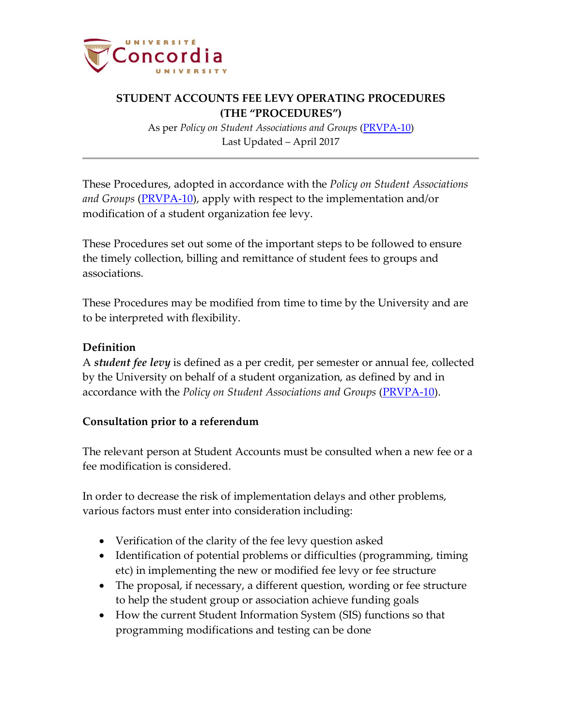

# **STUDENT ACCOUNTS FEE LEVY OPERATING PROCEDURES (THE "PROCEDURES")**

As per *Policy on Student Associations and Groups* [\(PRVPA-10\)](http://www.concordia.ca/content/dam/common/docs/policies/official-policies/PRVPA-10.pdf) Last Updated – April 2017

These Procedures, adopted in accordance with the *Policy on Student Associations and Groups* [\(PRVPA-10\)](http://www.concordia.ca/content/dam/common/docs/policies/official-policies/PRVPA-10.pdf), apply with respect to the implementation and/or modification of a student organization fee levy.

These Procedures set out some of the important steps to be followed to ensure the timely collection, billing and remittance of student fees to groups and associations.

These Procedures may be modified from time to time by the University and are to be interpreted with flexibility.

## **Definition**

A *student fee levy* is defined as a per credit, per semester or annual fee, collected by the University on behalf of a student organization, as defined by and in accordance with the *Policy on Student Associations and Groups* [\(PRVPA-10\)](http://www.concordia.ca/content/dam/common/docs/policies/official-policies/PRVPA-10.pdf).

## **Consultation prior to a referendum**

The relevant person at Student Accounts must be consulted when a new fee or a fee modification is considered.

In order to decrease the risk of implementation delays and other problems, various factors must enter into consideration including:

- Verification of the clarity of the fee levy question asked
- Identification of potential problems or difficulties (programming, timing etc) in implementing the new or modified fee levy or fee structure
- The proposal, if necessary, a different question, wording or fee structure to help the student group or association achieve funding goals
- How the current Student Information System (SIS) functions so that programming modifications and testing can be done